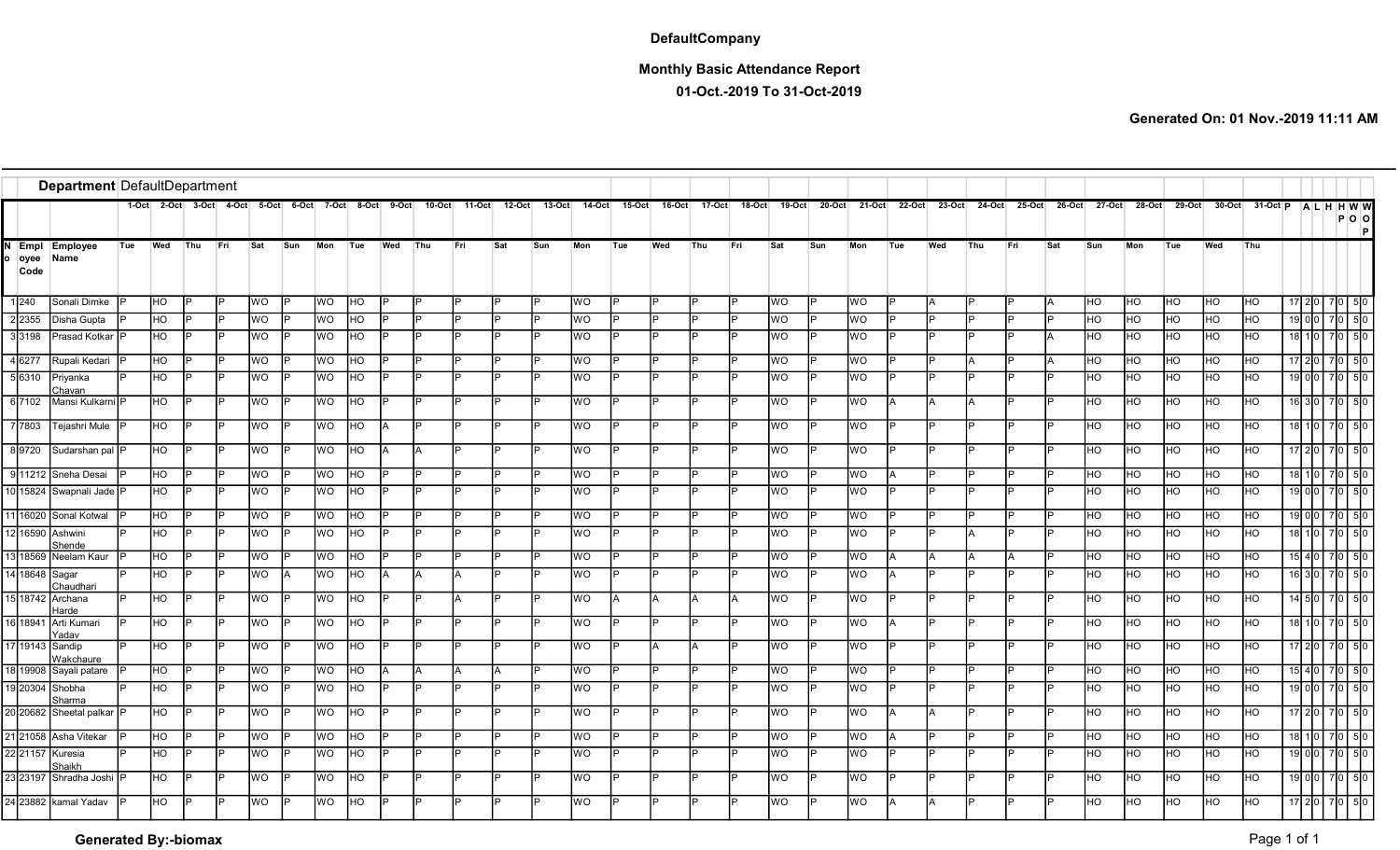## **DefaultCompany**

## Monthly Basic Attendance Report

01-Oct.-2019 To 31-Oct-2019

Generated On: 01 Nov.-2019 11:11 AM

|                      | Department DefaultDepartment<br>1-Oct 2-Oct 3-Oct 4-Oct 5-Oct 6-Oct 7-Oct 8-Oct<br>14-Oct  15-Oct  16-Oct |     |           |     |     |           |     |           |                |       |           |          |        |          |           |     |     |        |        |           |     |                      |     |     |                      |     |     |            |            |     |                                             |            |                  |                          |
|----------------------|-----------------------------------------------------------------------------------------------------------|-----|-----------|-----|-----|-----------|-----|-----------|----------------|-------|-----------|----------|--------|----------|-----------|-----|-----|--------|--------|-----------|-----|----------------------|-----|-----|----------------------|-----|-----|------------|------------|-----|---------------------------------------------|------------|------------------|--------------------------|
|                      |                                                                                                           |     |           |     |     |           |     |           |                | 9-Oct | $10-Oct$  | $11-Oct$ | 12-Oct | $13-Oct$ |           |     |     | 17 Oct | 18-Oct | 19-Oct    |     | 20-Oct 21-Oct 22-Oct |     |     | 23-Oct 24-Oct 25-Oct |     |     |            |            |     | 26-Oct 27-Oct 28-Oct 29-Oct 30-Oct 31-Oct P |            |                  | <b>ALHHWW</b><br>$P$ O O |
| Empl<br>oyee<br>Code | Employee<br>Name                                                                                          | Tue | Wed       | Thu | Fri | Sat       | Sun | Mon       | Tue            | Wed   | Thu       | Fri      | Sat    | Sun      | Mon       | Tue | Wed | Thu    | Fri    | Sat       | Sun | Mon                  | Tue | Wed | Thu                  | Fri | Sat | Sun        | Mon        | Tue | Wed                                         | Thu        |                  |                          |
| 1 240                | Sonali Dimke                                                                                              |     | HO.       | IÞ  |     | <b>WO</b> |     | <b>WO</b> | HO             |       | IÞ        |          |        |          | <b>WO</b> |     |     |        |        | WO.       |     | lwo.                 |     |     |                      |     |     | IHO .      | <b>IHO</b> | HO  | IHO.                                        | <b>HO</b>  |                  | 17 2 0 7 0 5 0           |
| 2 2 3 5 5            | Disha Gupta                                                                                               |     | HO.       | ID  |     | WO.       |     | WO        | HO             |       | IÞ        |          |        |          | WO        |     | D   |        |        | WO        |     | WO                   |     |     |                      |     |     | IHO .      | HO         | HO  | HO                                          | HO         | 19 0 0           | 7 0 5 0                  |
| 3 3 1 9 8            | Prasad Kotkar                                                                                             |     | HO        | ID  |     | WO.       |     | <b>WO</b> | HO             |       | IÞ        |          |        |          | <b>WO</b> |     |     |        |        | WO        |     | <b>WO</b>            |     |     |                      |     |     | <b>HO</b>  | HO         | HO  | HO                                          | HO         | 18               | 5 0                      |
| 4 6277               | Rupali Kedari                                                                                             |     | HO        | l P |     | Ю         |     | <b>WO</b> | HO             |       | IÞ        |          |        |          | <b>WO</b> | ID  |     |        |        | WO        |     | <b>WO</b>            | IÞ  | D   |                      |     |     | IHO.       | HO         | HO  | HO                                          | HO         | 17 2 0           | 70 50                    |
| 5 6310               | Priyanka<br>Chavan                                                                                        |     | <b>HO</b> | IÞ  |     | WO.       |     | <b>WO</b> | <b>IHO</b>     |       | ID        |          |        |          | <b>WO</b> | םו  |     |        |        | WO.       |     | <b>WO</b>            | IÞ  | D   |                      |     |     | IHO.       | HO         | HO  | <b>HO</b>                                   | <b>HO</b>  | 1900             | 70 50                    |
| 6 7102               | Mansi Kulkarni P                                                                                          |     | <b>HO</b> | l P |     | <b>WO</b> |     | <b>OM</b> | IHO.           |       | lo        |          |        |          | <b>WO</b> | ID  | lo  | D      |        | <b>WO</b> |     | <b>WO</b>            | IА  |     |                      |     |     | <b>HO</b>  | HO         | HO  | <b>IHO</b>                                  | <b>IHO</b> |                  | 16 3 0 7 0 5 0           |
| 7 7803               | Tejashri Mule                                                                                             |     | HO        | Iв  |     | <b>WO</b> |     | <b>OM</b> | <b>HO</b>      |       |           |          |        |          | <b>WO</b> |     |     |        |        | WO.       |     | <b>WO</b>            |     | D   |                      |     |     | IHO.       | <b>HO</b>  | HO  | HO                                          | HO         | $18$ 10          | -510<br>70 I             |
| 89720                | Sudarshan pal P                                                                                           |     | HO        | l P |     | <b>WO</b> |     | <b>WO</b> | <b>HO</b>      | IA.   | IΑ        |          |        |          | <b>WO</b> | ID  |     |        |        | WO        |     | <b>WO</b>            | IÞ  |     |                      |     |     | HO         | HO         | HO  | HO                                          | HO         |                  | 17 2 0 7 0 5 0           |
| 911212               | Sneha Desai                                                                                               |     | HO        | Iв  |     | WO        |     | WO        | HO             |       |           |          |        |          | <b>WO</b> |     |     |        |        | WO        |     | <b>WO</b>            |     |     |                      |     |     | HO.        | HO         | HO  | HO                                          | HO         | 18               |                          |
|                      | 10 15824 Swapnali Jade P                                                                                  |     | <b>HO</b> | Iв  |     | WO        |     | <b>OM</b> | HO             |       | IÞ        |          |        |          | <b>WO</b> |     | ID  |        |        | WO        |     | <b>WO</b>            |     | D   |                      |     |     | HO.        | HO         | HO  | <b>HO</b>                                   | HO         | 19000            | 50                       |
|                      | 11 16020 Sonal Kotwal                                                                                     |     | <b>HO</b> | IÞ  |     | <b>WO</b> |     | WO        | HO             |       | ID        |          |        |          | <b>WO</b> |     |     |        |        | WO        |     | <b>WO</b>            |     | D   |                      |     |     | HO.        | HO         | HO  | HO                                          | <b>HO</b>  | 1900             | 70 50                    |
|                      | 12 16590 Ashwini<br>Shende                                                                                |     | <b>HO</b> | l P |     | <b>WO</b> |     | <b>WO</b> | <b>HO</b>      |       | IÞ        |          |        |          | <b>WO</b> | ID  |     | D      |        | WO.       |     | <b>WO</b>            | IP. | ID  |                      |     |     | IHO .      | ЮH         | HO  | <b>HO</b>                                   | <b>HO</b>  | 18               | 70 50                    |
|                      | 13 18569 Neelam Kaur                                                                                      |     | HO        | l P |     | WO        |     | WO        | H <sub>O</sub> |       | lo        |          |        |          | <b>WO</b> |     | b   | D      |        | <b>WO</b> |     | <b>WO</b>            |     |     |                      |     |     | HO         | HO         | HO  | HO                                          | HO         |                  | $15$ 4 0 7 0 5 0         |
| 14 18648 Sagar       | Chaudhar                                                                                                  |     | HO.       | IÞ  |     | <b>OW</b> |     | <b>WO</b> | HO.            |       | <b>IA</b> |          |        |          | <b>WO</b> |     | םו  | D      |        | <b>WO</b> |     | <b>WO</b>            |     | D   |                      |     |     | <b>HO</b>  | <b>HO</b>  | HO  | <b>HO</b>                                   | <b>HO</b>  | $16$   $3$   $0$ | 50                       |
|                      | 15 18742 Archana<br>Harde                                                                                 |     | HO        | Iв  |     | WO        |     | <b>OM</b> | <b>HO</b>      |       | Iв        |          |        |          | WO        | IΑ  |     | А      |        | WO        |     | <b>WO</b>            |     | D   |                      |     |     | HO         | HO         | HO  | HO                                          | HO         | $14$ 5 0         | 70 I                     |
|                      | 16 18941 Arti Kumari<br>Yadav                                                                             |     | IHO I     | IÞ  |     | WO        |     | <b>WO</b> | Iно            |       |           |          |        |          | <b>WO</b> |     |     |        |        | WO.       |     | WO                   | IΑ  |     |                      |     |     | IHO .      | HO         | HO  | <b>HO</b>                                   | HO         |                  | 18 10 70 50              |
|                      | 17 19143 Sandip<br>Wakchaure                                                                              |     | <b>HO</b> | lÞ  |     | <b>WO</b> |     | <b>WO</b> | <b>HO</b>      |       |           |          |        |          | WO        |     | IΑ  |        |        | <b>WO</b> |     | <b>WO</b>            |     |     |                      |     |     | <b>HO</b>  | HO         | HO. | HO                                          | <b>IHO</b> | 17 2 10          | 50                       |
|                      | 18 19908 Sayali patare                                                                                    |     | <b>HO</b> | l P |     | Ю         |     | <b>WO</b> | HO             |       | <b>IA</b> |          |        |          | WO        | םו  |     | D      |        | WO        |     | <b>WO</b>            | ID  | D   |                      |     |     | HO.        | HO         | HO  | HO                                          | HO         | 15 4 0           |                          |
|                      | 19 20304 Shobha<br>Sharma                                                                                 |     | <b>HO</b> | l P |     | <b>WO</b> |     | <b>WO</b> | <b>HO</b>      |       | IÞ        |          |        |          | <b>WO</b> | ID  | םו  | D      |        | WO.       |     | <b>WO</b>            | IP. | D   |                      |     |     | <b>THO</b> | <b>HO</b>  | Iно | <b>HO</b>                                   | <b>HO</b>  | 19000            | 70 50                    |
|                      | 20 20682 Sheetal palkar P                                                                                 |     | IHO I     | l p |     | <b>OW</b> |     | <b>WO</b> | Іно            |       | lo        |          |        |          | <b>WO</b> | םו  | Þ   | D      |        | WO.       |     | <b>WO</b>            | IΑ  |     |                      |     |     | IHO.       | Iно        | HO  | <b>IHO</b>                                  | <b>IHO</b> |                  | 17 2 0 7 0 5 0           |
|                      | 21 21058 Asha Vitekar                                                                                     |     | HO        | l P |     | WO        |     | МO        | HO             |       | Iв        |          |        |          | WO        |     |     | D      |        | WO        |     | WO                   |     | D   |                      |     |     | HO.        | HO         | HO  | HO                                          | HO         | 18               | 7 0 5 0                  |
|                      | 22 21157 Kuresia<br>Shaikh                                                                                |     | HO        | Iо  |     | WO        |     | <b>OM</b> | HO             |       | Iв        |          |        |          | WO        |     |     |        |        | WO        |     | WO                   |     | D   |                      |     |     | <b>HO</b>  | HO         | HO  | HO                                          | HO         | 19 <sup>l</sup>  |                          |
|                      | 3 23197 Shradha Joshi IP                                                                                  |     | HO        | IÞ  |     | WO        |     | <b>WO</b> | <b>IHO</b>     |       |           |          |        |          | <b>WO</b> |     | D   |        |        | WO        |     | <b>WO</b>            |     |     |                      |     |     | lho-       | HO         | HO  | HO                                          | HO         | $19$ 0 0         | 70 50                    |
|                      | 24 23882 kamal Yadav                                                                                      |     | HO        | IP. |     | <b>OM</b> |     | <b>WO</b> | HO             |       |           |          |        |          | <b>WO</b> |     |     |        |        | <b>WO</b> |     | <b>WO</b>            | IΑ  |     |                      |     |     | HO.        | HO         | HO  | HO                                          | <b>IHO</b> | 17 2 0           |                          |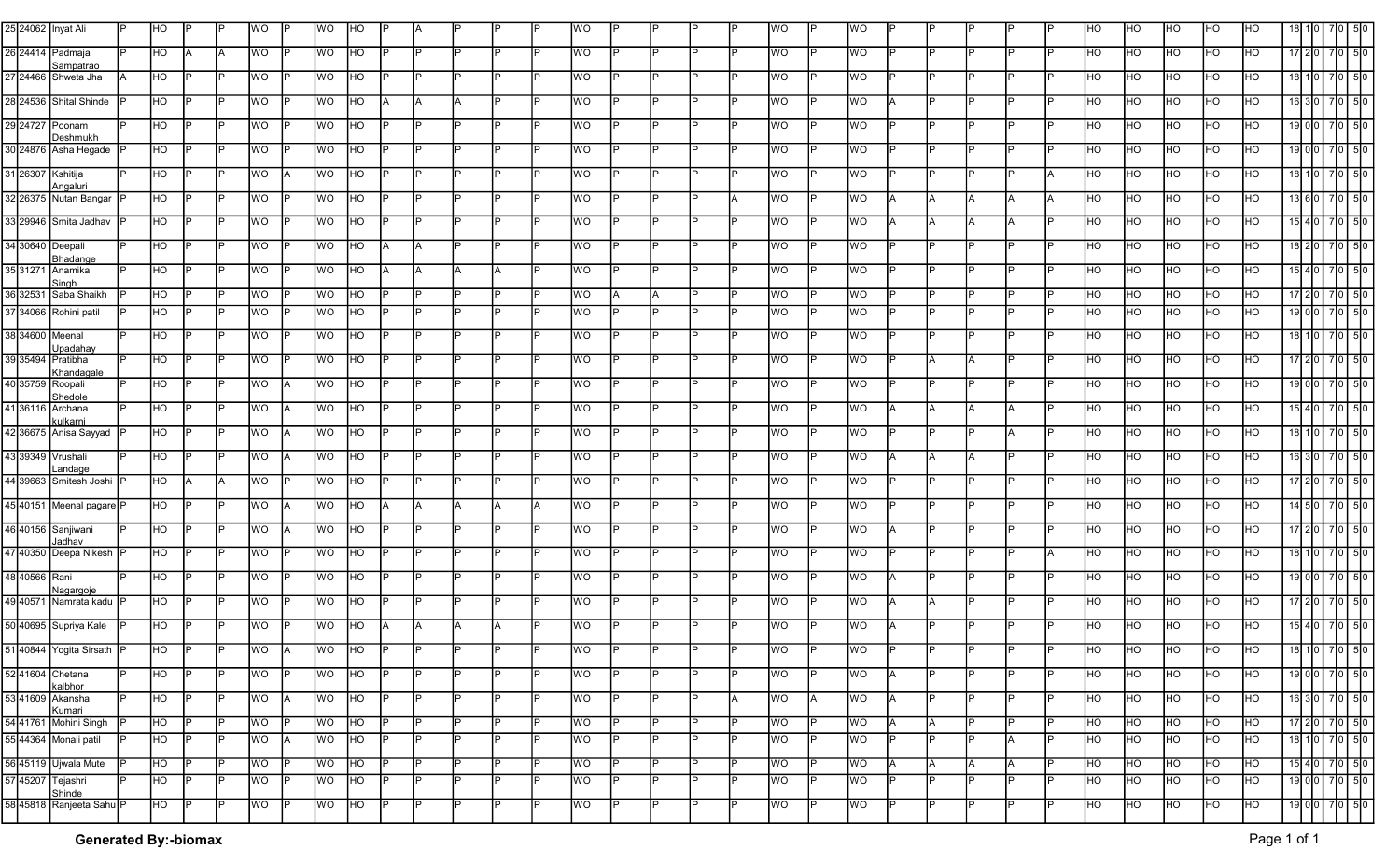|               | 25 24062 Inyat Ali                   | HO             |     |     | <b>WO</b> |    | WO        | HO             |     |     |     |     | WO        |          |     |     |     | WO        |    | WO        |           |     |    |     |     | HО | HO        | HO        | HO.            | HO        |                     |             |                 |
|---------------|--------------------------------------|----------------|-----|-----|-----------|----|-----------|----------------|-----|-----|-----|-----|-----------|----------|-----|-----|-----|-----------|----|-----------|-----------|-----|----|-----|-----|----|-----------|-----------|----------------|-----------|---------------------|-------------|-----------------|
|               | 26 24414 Padmaja                     | <b>HO</b>      |     | IA. | WO        |    | <b>WO</b> | HO             |     |     |     |     | WO        |          |     |     |     | WO        |    | <b>WO</b> | Þ         |     |    |     |     | HO | HO        | HO        | HO             | HO        |                     |             |                 |
|               | Sampatrac<br>27 24466 Shweta Jha     | <b>HO</b>      |     |     | <b>WO</b> |    | <b>WO</b> | HO.            |     |     |     |     | WO        |          |     |     |     | WO        |    | <b>WO</b> |           |     |    |     |     | HO | HO        | HO        | HO.            | HO        | 18I 1               |             | 50              |
|               | 28 24536 Shital Shinde               | HO             |     |     | WO        |    | <b>WO</b> | HO             |     |     |     |     | WO        |          |     |     |     | WO        |    | <b>WO</b> |           |     |    |     |     | HO | HO        | HO        | <b>HO</b>      | HO        | 16 3                |             |                 |
|               | 29 24727 Poonam                      | HO             |     |     | WO        |    | <b>WO</b> | HO             |     |     |     |     | WO        |          |     |     |     | WO        |    | <b>WO</b> |           |     |    |     |     | HO | HO        | HO        | HO             | HO        | 19 Old              |             | -5 O            |
|               | Deshmukh<br>30 24876 Asha Hegade     | HO             |     |     | WO        |    | <b>WO</b> | HO             |     |     |     |     | WO        |          |     |     |     | WO        |    | <b>WO</b> |           |     |    |     |     | HO | HO        | HO        | HO             | HO        | 1900                |             |                 |
|               | 31 26307 Kshitija                    | <b>HO</b>      |     |     | WO        | A  | <b>WO</b> | <b>IHO</b>     |     |     |     |     | WO        |          |     |     |     | WO        |    | <b>WO</b> |           |     |    |     |     | HO | HO        | HO        | HO             | HO        | $18$   1            | 7050        |                 |
|               | Angaluri<br>32 26375 Nutan Bangar    | <b>HO</b>      |     |     | <b>WO</b> |    | lwo.      | HO             |     |     |     |     | WO        |          |     |     |     | WO        |    | <b>WO</b> |           |     |    |     |     | HO | HO        | HO        | HO             | HO        | 13 6 0              |             |                 |
|               | 33 29946 Smita Jadhav                | H <sub>O</sub> |     |     | WO        |    | <b>WO</b> | HO             |     |     |     |     | WO        | IP       |     | IÞ  |     | WO        |    | <b>WO</b> | A         |     |    |     | D   | HO | HO        | HO        | HO             | HO        | $15$   4            | 7 0 5 0     |                 |
|               | 34 30640 Deepali                     | <b>HO</b>      |     |     | WO        |    | lwo.      | HO             |     | ΙA  |     |     | WO        |          |     |     |     | WO        |    | <b>WO</b> |           |     |    |     |     | HO | HO        | HO        | HO             | HO        | $18$   2  0         |             | 50              |
|               | Bhadange<br>35 31271 Anamika         | <b>HO</b>      |     |     | <b>WO</b> |    | <b>WO</b> | IHO.           |     | ΙA  |     |     | WO        |          |     |     |     | WO        |    | <b>WO</b> |           |     |    |     |     | HO | HO        | HO        | HO             | HO        | $15$   4            |             | 50              |
|               | Singh                                |                |     |     |           |    |           |                |     |     |     |     |           |          |     |     |     |           |    |           |           |     |    |     |     |    |           |           |                |           |                     |             |                 |
|               | 36 32531 Saba Shaikh                 | HO             |     |     | WO        |    | <b>WO</b> | HO             |     |     |     |     | WO        | ΙA       |     |     |     | WO        |    | WO        |           |     |    |     |     | HO | HO        | HO        | HO             | HO        | $17$   2            | $7$ 0 $5$ 0 |                 |
|               | 37 34066 Rohini patil                | HO             |     | ID  | WO        |    | <b>WO</b> | HO             | D   | IP. |     |     | WO        | IÞ       |     | IÞ  |     | WO        |    | <b>WO</b> | Þ         | D   |    |     |     | HO | HO        | HO        | H <sub>O</sub> | HO        | 19 0 0              |             | 50              |
|               | 38 34600 Meenal<br>Jpadahay          | HO             |     |     | <b>WO</b> |    | <b>WO</b> | HO             |     |     |     |     | WO        |          |     |     |     | <b>MO</b> |    | <b>WO</b> |           |     |    |     |     | HO | HO        | HO        | HO             | HO        | $18$   1            | 7050        |                 |
|               | 39 35494 Pratibha<br>Khandaga        | HO             |     |     | <b>WO</b> |    | <b>WO</b> | HO             |     |     |     |     | WO        |          |     |     |     | WO        |    | <b>WO</b> |           |     |    |     |     | HO | HO        | HO        | HO             | HO        | 17 2 10             |             | 50 <sub>0</sub> |
|               | 40 35759 Roopali<br>Shedole          | HO             |     |     | <b>WO</b> |    | lwo.      | HO             |     |     |     |     | WO        |          |     |     |     | WO        |    | <b>WO</b> |           |     |    |     |     | HO | HO        | HO        | HO             | HO        | 19 Ol               |             |                 |
|               | 41 36116 Archana<br><b>kulkarni</b>  | <b>HO</b>      |     |     | <b>WO</b> |    | <b>WO</b> | HO             |     |     |     |     | WO        |          |     |     |     | WO        |    | <b>WO</b> |           |     |    |     |     | HO | HO        | HO        | <b>HO</b>      | HO        | $15$   4            |             |                 |
|               | 42 36675 Anisa Sayyad P              | HO             |     |     | WO        | А  | <b>WO</b> | HO             |     |     |     |     | WO        |          |     |     |     | WO        |    | <b>WO</b> |           |     |    |     |     | HO | HO        | <b>HO</b> | HO             | HO        | 18                  |             |                 |
|               | 43 39349 Vrushali                    | HO             |     |     | WO        |    | lwo.      | HO             |     |     |     |     | WO        |          |     |     |     | WO        |    | <b>WO</b> |           |     |    |     |     | HO | HO        | HO        | HO             | HO        | $16$   3            |             | 5 0             |
|               | andage<br>44 39663 Smitesh Joshi     | <b>HO</b>      |     |     | WO        |    | <b>WO</b> | HO             |     |     |     |     | WO        |          |     |     |     | WO        |    | <b>WO</b> |           |     |    |     |     | HO | HO        | HO        | HO             | HO        | 17 2 10             |             |                 |
|               | 45 40151 Meenal pagare P             | HO             | P   |     | WO        |    | <b>WO</b> | IHO.           |     |     |     |     | <b>WO</b> |          |     | ID  |     | WO        |    | <b>WO</b> | Þ         |     |    |     |     | HO | HO        | HO        | HO             | HO        | 14 5 I              |             | 5 0             |
|               | 46 40156 Sanjiwani                   | H <sub>O</sub> |     |     | <b>WO</b> |    | <b>WO</b> | HO             |     |     |     |     | WO        |          |     |     |     | WO        |    | <b>WO</b> |           |     |    |     |     | HO | HO        | HO        | HO             | HO        | 17 I 2 I 0          |             |                 |
|               | adhav<br>47 40350 Deepa Nikesh P     | H <sub>O</sub> |     | IP  | <b>WO</b> |    | <b>WO</b> | IHO.           |     |     |     |     | WO        |          |     |     |     | WO        |    | <b>WO</b> | Þ         |     |    |     |     | HO | HO        | HO        | HO             | HO        | 18 1                | 7050        |                 |
| 48 40566 Rani |                                      | HO             |     |     | <b>WO</b> |    | <b>WO</b> | HO             |     |     |     |     | WO        |          |     |     |     | <b>MO</b> |    | <b>WO</b> | А         |     |    |     |     | HO | HO        | HO        | HO             | HO        | 1900                |             | l 510           |
|               | Nagargoje<br>49 40571 Namrata kadu P | HO             |     |     | <b>WO</b> |    | <b>WO</b> | <b>IHO</b>     |     |     |     |     | WO        |          |     |     |     | WO        |    | <b>WO</b> |           |     |    |     |     | HO | HO        | HO        | <b>HO</b>      | HO        | 17 2 I              |             | 510             |
|               | 50 40695 Supriya Kale                | HO             |     |     | <b>WO</b> |    | lwo.      | HO             |     |     |     |     | WO        |          |     |     |     | <b>WO</b> |    | <b>WO</b> |           |     |    |     |     | HO | HO        | HO        | HO             | HO        | 15I 4               |             |                 |
|               | 51 40844 Yogita Sirsath P            | H <sub>O</sub> | D   |     | <b>WO</b> |    | <b>WO</b> | HO             | D   | P   | D   |     | WO        |          | D   | IÞ  |     | WO        |    | WO        | D         |     |    |     | IÞ  | HO | HO        | HO        | H <sub>O</sub> | HO        | 18 1 0              | $7050$      |                 |
|               | 52 41604 Chetana                     | HO             | IP. | IP. | WO        | IP | WO        | <b>HO</b>      | IP. | IP. | IP. |     | WO        | IP.      | IP. | IP  | IP. | WO        |    | <b>WO</b> | IA.       | P   | lp |     | ID  | HO | <b>HO</b> | <b>HO</b> | HO             | HO        | 190077050           |             |                 |
|               | kalbhor<br>53 41609 Akansha          | HO             | P   | IP  | WO        | A  | <b>WO</b> | H <sub>O</sub> | IP. | IP. | ID  |     | <b>WO</b> | IP.      | ID  | IÞ  | A   | <b>WO</b> | ΙA | <b>WO</b> | <b>JA</b> | P   | Ιo |     | D   | HO | <b>HO</b> | <b>HO</b> | <b>IHO</b>     | HO        | 16 3 0 7 0 5 0      |             |                 |
|               | Kumari<br>54 41761 Mohini Singh      | H <sub>O</sub> | l P |     | WO        |    | <b>WO</b> | HO             | IP. | IP. | ID  | D   | WO        | P        | ID  | IP. | D   | WO        |    | <b>WO</b> | IA.       |     |    |     | ID  | HO | HO        | <b>HO</b> | HO             | HO        | $17$ 20 $7$ 0 $5$ 0 |             |                 |
|               | 55 44364 Monali patil                | HO             | D   | IP  | WO        | A  | <b>WO</b> | <b>HO</b>      | IP. | IP. | IP. | D   | WO        | IP.      | ld  | lÞ  | D   | <b>WO</b> |    | <b>WO</b> | IP.       | l P | ld | IA. | ID  | HO | HO        | <b>HO</b> | HO             | <b>HO</b> | 18107050            |             |                 |
|               | 56 45119 Ujwala Mute                 | H <sub>O</sub> | P   |     | WO        |    | <b>WO</b> | HO             | P   | IP. | ID  |     | WO        | <b>P</b> | ID  | IP. | D   | WO        |    | <b>WO</b> | A         |     |    |     | D   | HO | HO        | HO        | HO             | HO        | 15407050            |             |                 |
|               | 57 45207 Tejashri                    | HO             | l P |     | WO        |    | <b>WO</b> | <b>HO</b>      | IP. | IP. | IP. | IP. | <b>WO</b> | IP.      | IP. | IP. | IP. | WO        |    | <b>WO</b> | IP.       | IP. | IP | ID  | IP. | HO | HO        | <b>HO</b> | <b>IHO</b>     | HO        | 190077050           |             |                 |
|               | Shinde<br>58 45818 Ranjeeta Sahu P   |                | P   |     |           |    |           |                | IP  | P   |     |     |           |          |     | lÞ  |     |           |    |           | P         |     |    |     |     |    |           |           |                |           |                     |             |                 |
|               |                                      | H <sub>O</sub> |     |     | <b>WO</b> |    | <b>WO</b> | H <sub>O</sub> |     |     |     |     | <b>WO</b> |          |     |     |     | <b>NO</b> |    | <b>WO</b> |           |     |    |     |     | HO | HO        | HO        | HO             | HO        | 190077050           |             |                 |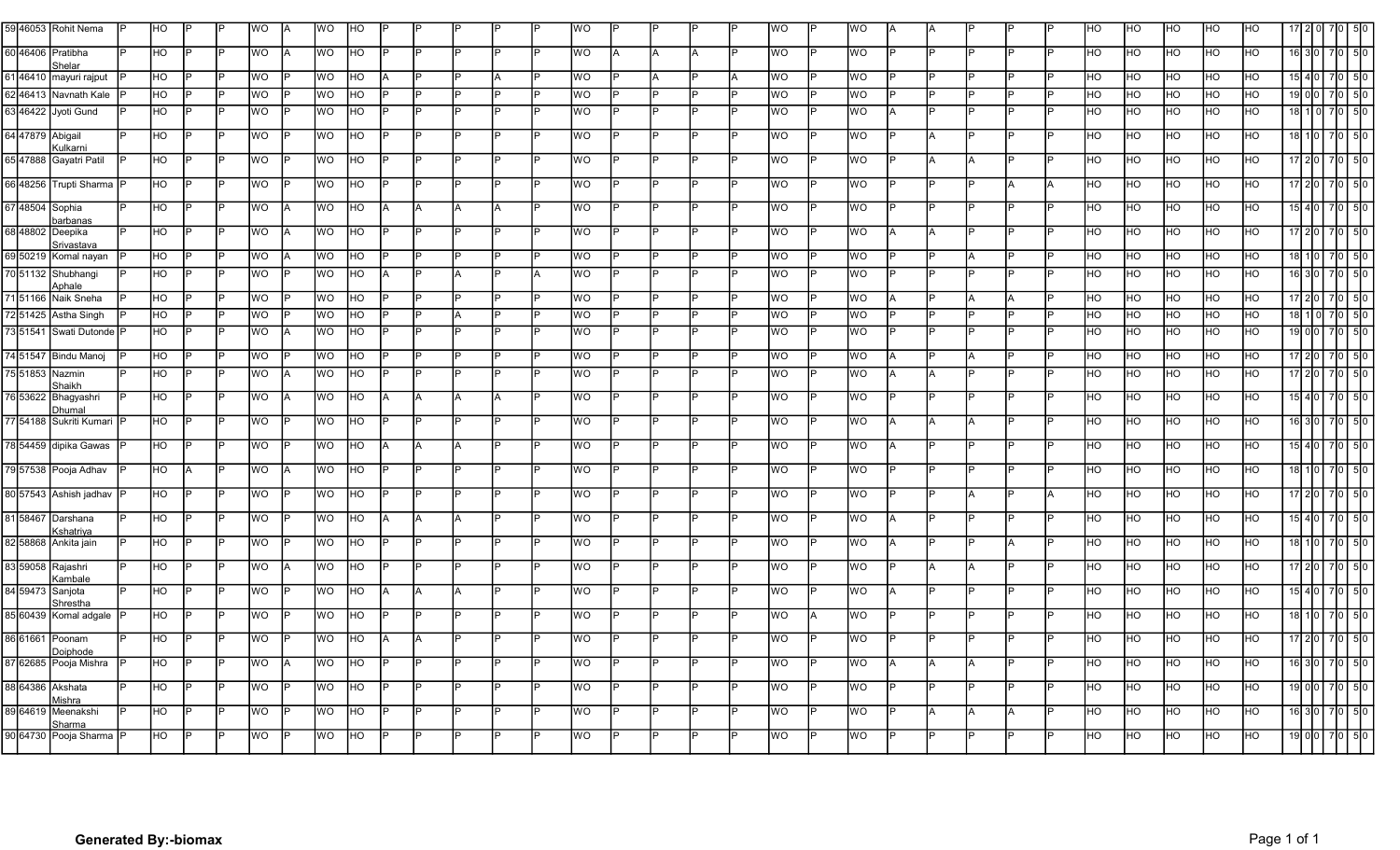|                   | 59 46053 Rohit Nema                 |     | HO             |           |     | ΝO        |     | WO        |                |     |     |     |     |    | WO        |     |     |   | <b>WO</b> |           | WO        |     |     |     |     | ЧO  | HO             |                | HO             |     |                               |     |                |
|-------------------|-------------------------------------|-----|----------------|-----------|-----|-----------|-----|-----------|----------------|-----|-----|-----|-----|----|-----------|-----|-----|---|-----------|-----------|-----------|-----|-----|-----|-----|-----|----------------|----------------|----------------|-----|-------------------------------|-----|----------------|
|                   |                                     |     |                |           |     |           |     |           |                |     |     |     |     |    |           |     |     |   |           |           |           |     |     |     |     |     |                |                |                |     |                               |     |                |
| 60 46406 Pratibha | Shelar                              |     | <b>IHO</b>     |           |     | WO        |     | <b>WO</b> | HO             |     |     |     |     |    | <b>WO</b> |     |     |   | <b>WO</b> |           | <b>WO</b> |     |     |     |     | HO  | HO             | <b>HO</b>      | <b>IHO</b>     | HO  | 16 3 I                        |     | 5IC            |
|                   | 61 46410 mayuri rajput              |     | <b>IHO</b>     |           |     | WO        |     | WO        | HO             |     |     |     |     |    | lwo.      |     |     |   | <b>WO</b> |           | WO        |     |     |     |     | HO  | HO             | HO             | IHO.           | HO  | $15$ 4 0                      |     | 50             |
|                   | 62 46413 Navnath Kale               |     | HO             |           |     | <b>WO</b> |     | WO        | HO             |     |     |     |     |    | lwo.      |     |     |   | <b>WO</b> |           | <b>WO</b> |     |     |     |     | HO  | HO             | HO             | HO             | HO  | 19 0 0                        |     | $\sqrt{5}$     |
|                   | 63 46422 Jyoti Gund                 |     | <b>IHO</b>     |           |     | WO        |     | <b>WO</b> | HO             |     |     |     |     |    | <b>WO</b> |     |     |   | <b>WO</b> |           | WO        |     |     |     |     | HO  | HO             | HO             | <b>HO</b>      | HO  | 18                            |     | 5 0            |
| 64 47879 Abigail  |                                     |     | <b>IHO</b>     |           |     | WO        |     | WO.       | HO             |     |     |     |     |    | <b>WO</b> |     |     |   | <b>WO</b> |           | WO        |     |     |     |     | HO  | HO             | HO             | <b>HO</b>      | HO  | 18                            |     |                |
|                   | Kulkarni                            |     |                |           |     |           |     |           |                |     |     |     |     |    |           |     |     |   |           |           |           |     |     |     |     |     |                |                |                |     |                               |     |                |
|                   | 65 47888 Gayatri Patil              |     | <b>IHO</b>     |           |     | <b>WO</b> |     | <b>WO</b> | HO             |     |     |     |     |    | <b>WO</b> |     |     |   | lwo.      |           | <b>WO</b> |     |     |     |     | HO  | <b>IHO</b>     | IHO.           | <b>IHO</b>     | HO  | 17   2   1                    |     | -510           |
|                   | 66 48256 Trupti Sharma P            |     | H <sub>O</sub> | IÞ        |     | WO        |     | WO        | HO             |     |     |     |     |    | <b>WO</b> |     |     |   | <b>WO</b> |           | <b>WO</b> |     |     |     |     | HO  | <b>HO</b>      | <b>HO</b>      | H <sub>O</sub> | HO  | 17 2 10                       |     |                |
| 67 48504 Sophia   |                                     |     | HO             | ID        |     | WO        |     | <b>WO</b> | HO             | IΑ  |     |     |     |    | <b>WO</b> |     |     |   | <b>WO</b> |           | <b>WO</b> |     |     |     |     | HO  | <b>HO</b>      | HO             | <b>IHO</b>     | HO  | $15$ 4                        |     | 50             |
|                   | barbanas                            |     |                |           |     |           |     |           |                |     |     |     |     |    |           |     |     |   |           |           |           |     |     |     |     |     |                |                |                |     |                               |     |                |
| 68 48802 Deepika  |                                     |     | <b>IHO</b>     | IÞ        |     | WO        |     | <b>WO</b> | <b>IHO</b>     |     |     |     |     |    | <b>WO</b> |     |     |   | lwo.      |           | <b>WO</b> |     |     |     |     | HO. | <b>IHO</b>     | HO             | <b>HO</b>      | HO. | 17 2 0                        |     | 510            |
|                   | Srivastava<br>69 50219 Komal nayan  |     | <b>HO</b>      | IÞ        |     | WO        |     | WO        | HO             |     | D   |     |     |    | <b>WO</b> | Þ   |     |   | <b>WO</b> |           | <b>WO</b> |     | P   |     |     | HO  | <b>IHO</b>     | HO             | HO             | HO  | 18 1                          | 70  | 5 0            |
|                   | 70 51132 Shubhangi                  |     | <b>IHO</b>     |           |     | WO        |     | WO        | <b>IHO</b>     | IΑ  | P   |     |     |    | <b>WO</b> | ID  |     |   | <b>WO</b> |           | WO        |     | P   |     |     | HO. | <b>HO</b>      | HO             | H <sub>O</sub> | HO  | $16$   3                      |     | 5 0            |
|                   | Aphale<br>71 51166 Naik Sneha       |     | HO             | IÞ        |     | WO        |     | <b>WO</b> | HO             |     | D   |     |     |    | lwo.      | Þ   |     |   | <b>WO</b> |           | <b>WO</b> |     |     |     |     | HO  | HO             | HO             | HO             | HO  | 17 2 0                        | 7 0 | 5 0            |
|                   | 72 51425 Astha Singh                |     | HO             | D         |     | <b>WO</b> |     | <b>WO</b> | HO             |     | P   |     |     |    | <b>WO</b> |     |     |   | <b>WO</b> |           | <b>WO</b> |     | P   |     |     | HO  | HO             | HO             | HO             | HO  | 18                            | 710 | 50             |
|                   | 73 51541 Swati Dutonde P            |     | <b>IHO</b>     | ID        |     | <b>WO</b> |     | <b>WO</b> | HO             |     | IÞ  |     |     |    | <b>WO</b> | ID  |     |   | lwo.      |           | <b>WO</b> |     | D   |     |     | HO  | <b>IHO</b>     | HO             | <b>HO</b>      | HO  | 1900                          |     | 5 0            |
|                   |                                     |     |                |           |     |           |     |           |                |     |     |     |     |    |           |     |     |   |           |           |           |     |     |     |     |     |                |                |                |     |                               |     |                |
|                   | 74 51547 Bindu Manoj                |     | H <sub>O</sub> | P         |     | <b>OM</b> |     | <b>WO</b> | HO             |     |     |     |     |    | <b>WO</b> |     |     |   | <b>WO</b> |           | <b>WO</b> |     |     |     |     | HO  | HO             | HO             | HO             | HO  | 17   2   0                    | 7 0 | 5 0            |
| 75 51853 Nazmin   | Shaikh                              |     | H <sub>O</sub> |           |     | <b>WO</b> |     | <b>WO</b> | HO             |     | IP. |     |     |    | <b>WO</b> |     |     |   | <b>WO</b> |           | <b>WO</b> |     | ΙA  |     |     | HO. | <b>HO</b>      | HO             | H <sub>O</sub> | HO  | $17$   2                      |     | 50             |
|                   | 76 53622 Bhagyashri                 |     | <b>IHO</b>     | lP.       |     | WO        |     | <b>WO</b> | HO             | IA. | ΙA  |     |     |    | <b>WO</b> | ID  |     |   | <b>WO</b> |           | <b>WO</b> |     |     |     |     | HO  | HO             | HO             | HO             | HO  | $15$   4                      |     | 5 <sub>0</sub> |
|                   | Dhumal<br>77 54188 Sukriti Kumari P |     | <b>HO</b>      | IP.       | ID  | <b>OW</b> |     | <b>WO</b> | <b>HO</b>      | IÞ  | Þ   |     |     |    | <b>WO</b> | ID  |     |   | WO.       |           | <b>WO</b> |     | A   |     |     | HO  | <b>HO</b>      | HO             | HO             | HO  |                               |     | 50             |
|                   |                                     |     |                |           |     |           |     |           |                |     |     |     |     |    |           |     |     |   |           |           |           |     |     |     |     |     |                |                |                |     | $16$ 3 $\sigma$               |     |                |
|                   | 78 54459 dipika Gawas               |     | <b>IHO</b>     | IP        |     | WO        |     | WO        | HO             | IΑ  |     |     |     |    | WO        |     |     |   | <b>WO</b> |           | WO        |     |     |     |     | HO  | HO             | HO             | HO             | HO  | $15$   4                      |     | 5 0            |
|                   | 79 57538 Pooja Adhav                |     | <b>IHO</b>     | IΑ        |     | WO        |     | <b>WO</b> | <b>IHO</b>     |     |     |     |     |    | <b>WO</b> |     |     |   | <b>WO</b> |           | WO        |     |     |     |     | HO  | HO             | <b>HO</b>      | <b>IHO</b>     | HO. | 18                            |     | 5 <sub>0</sub> |
|                   |                                     |     |                |           |     |           |     |           |                |     |     |     |     |    |           |     |     |   |           |           |           |     |     |     |     |     |                |                |                |     |                               |     |                |
|                   | 80 57543 Ashish jadhav              | IP  | <b>IHO</b>     |           |     | <b>WO</b> |     | WO        | HO             |     |     |     |     |    | <b>WO</b> |     |     |   | <b>WO</b> |           | WO        |     |     |     |     | HO  | HO             | HO             | <b>IHO</b>     | HO  | 17 <b>1</b> 21                |     | 510            |
|                   | 81 58467 Darshana                   |     | <b>IHO</b>     | D         |     | WO        |     | <b>WO</b> | HO             |     |     |     |     |    | lwo.      |     |     |   | <b>WO</b> |           | <b>WO</b> |     |     |     |     | HO  | HO             | HO             | <b>IHO</b>     | HO  | 15 <sup>1</sup>               |     |                |
|                   | Kshatriya<br>82 58868 Ankita jain   |     | HO             | IP        |     | <b>WO</b> |     | <b>WO</b> | HO             |     |     |     |     |    | <b>WO</b> |     |     |   | <b>WO</b> |           | <b>WO</b> |     |     |     |     | HO  | <b>IHO</b>     | <b>HO</b>      | IHO.           | HO  | 18                            |     |                |
|                   |                                     |     |                |           |     |           |     |           |                |     |     |     |     |    |           |     |     |   |           |           |           |     |     |     |     |     |                |                |                |     |                               |     |                |
|                   | 359058 Rajashri<br>Kambale          |     | HO             | IP        |     | WO        |     | <b>WO</b> | HO             |     |     |     |     |    | <b>WO</b> |     |     |   | <b>WO</b> |           | WO        |     |     |     |     | HO  | HO             | HO             | HO             | HO  | 17 2 10                       |     |                |
| 84 59473 Sanjota  |                                     |     | <b>IHO</b>     | IP.       |     | <b>WO</b> | D   | <b>WO</b> | HO             |     |     |     |     |    | <b>WO</b> | ID  |     |   | <b>WO</b> |           | <b>WO</b> |     |     |     |     | HO  | <b>IHO</b>     | HO             | <b>IHO</b>     | HO  | $15$   4                      |     | 5 <sub>0</sub> |
|                   | Shrestha<br>85 60439 Komal adgale   |     | <b>IHO</b>     |           |     | WO        |     | <b>WO</b> | HO             |     |     |     |     |    | <b>WO</b> |     |     |   | <b>WO</b> |           | <b>WO</b> |     |     |     |     | HO  | HO             | HO             | HO             | HO  |                               |     |                |
|                   |                                     |     |                |           |     |           |     |           |                |     |     |     |     |    |           |     |     |   |           |           |           |     |     |     |     |     |                |                |                |     |                               |     |                |
| 86 61661 Poonam   | Doiphode                            | IP. | <b>HO</b>      | <b>IP</b> | D   | WO        | lP. | ЮM        | <b>HO</b>      |     |     |     | D   | IP | WO        | Iв  |     | D | <b>WO</b> | <b>IP</b> | <b>WO</b> | b   | P   | D   | D.  | HO  | <b>HO</b>      | HO             | <b>IHO</b>     | HO  | -17   2   0   -7   0   -5   0 |     |                |
|                   | 87 62685 Pooja Mishra               | IP. | H <sub>O</sub> | IP.       | IP. | WO        | IΑ  | <b>WO</b> | H <sub>O</sub> | IP. | IP. | IP. | IP. |    | <b>WO</b> | IP. | D   | D | <b>WO</b> | IP.       | <b>WO</b> | IA. | IA. | IP. | D   | HO  | HO             | <b>HO</b>      | HO             | HO  | $16$ 30 $7$ 0 $5$ 0           |     |                |
| 88 64386 Akshata  |                                     |     | H <sub>O</sub> | IP.       | IP  | <b>OM</b> |     | WO        | <b>HO</b>      | IP. | P   |     | D   |    | <b>WO</b> | IP. |     |   | <b>WO</b> | IP        | <b>WO</b> | Þ   |     | ID  |     | HO  | HO             | H <sub>O</sub> | H <sub>O</sub> | HO  | 190077050                     |     |                |
|                   | Mishra                              |     |                |           |     |           |     |           |                |     |     |     |     |    |           |     |     |   |           |           |           |     |     |     |     |     |                |                |                |     |                               |     |                |
|                   | 89 64619 Meenakshi                  | IP  | <b>HO</b>      | IP.       | D   | <b>WO</b> | IP. | <b>WO</b> | <b>HO</b>      | IP. | IP. |     | IP. |    | <b>WO</b> | IP. | IP. | D | <b>WO</b> | IP.       | <b>WO</b> | Þ   | A   | ΙA  | IP. | HO  | <b>HO</b>      | HO             | <b>HO</b>      | HO  | 163077050                     |     |                |
|                   | Sharma<br>90 64730 Pooja Sharma P   |     | H <sub>O</sub> | IP.       |     | <b>WO</b> | IP  | <b>OM</b> | H <sub>O</sub> | IP  |     |     |     |    | <b>WO</b> | IP. |     |   | <b>WO</b> | IP.       | WO        |     |     |     |     | HO  | H <sub>O</sub> | HO             | HO             | HO  | 19 0 0                        |     | 7 0 5 0        |
|                   |                                     |     |                |           |     |           |     |           |                |     |     |     |     |    |           |     |     |   |           |           |           |     |     |     |     |     |                |                |                |     |                               |     |                |